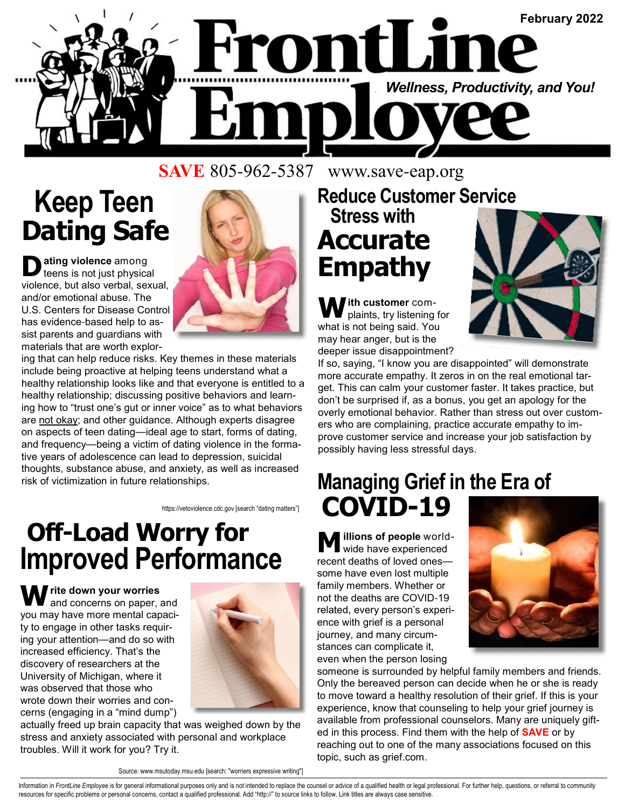

**SAVE** 805-962-5387 www.save-eap.org

# **Keep Teen Dating Safe**

 $\sum$  **ating violence** among<br>teens is not just physical violence, but also verbal, sexual, and/or emotional abuse. The U.S. Centers for Disease Control has evidence-based help to assist parents and guardians with materials that are worth explor-



ing that can help reduce risks. Key themes in these materials include being proactive at helping teens understand what a healthy relationship looks like and that everyone is entitled to a healthy relationship; discussing positive behaviors and learning how to "trust one's gut or inner voice" as to what behaviors are not okay; and other guidance. Although experts disagree on aspects of teen dating—ideal age to start, forms of dating, and frequency—being a victim of dating violence in the formative years of adolescence can lead to depression, suicidal thoughts, substance abuse, and anxiety, as well as increased risk of victimization in future relationships.

https://vetoviolence.cdc.gov [search "dating matters"]

### **Off-Load Worry for Improved Performance**

**W rite down your worries** and concerns on paper, and you may have more mental capacity to engage in other tasks requiring your attention—and do so with increased efficiency. That's the discovery of researchers at the University of Michigan, where it was observed that those who wrote down their worries and concerns (engaging in a "mind dump")



actually freed up brain capacity that was weighed down by the stress and anxiety associated with personal and workplace troubles. Will it work for you? Try it.

Source: www.msutoday.msu.edu [search: "worriers expressive writing"]

### **Reduce Customer Service Stress with Accurate Empathy**

W ith customer com-<br>plaints, try listening for what is not being said. You may hear anger, but is the deeper issue disappointment?



If so, saying, "I know you are disappointed" will demonstrate more accurate empathy. It zeros in on the real emotional target. This can calm your customer faster. It takes practice, but don't be surprised if, as a bonus, you get an apology for the overly emotional behavior. Rather than stress out over customers who are complaining, practice accurate empathy to improve customer service and increase your job satisfaction by possibly having less stressful days.

#### **Managing Grief in the Era of COVID-19**

**illions of people** worldwide have experienced recent deaths of loved ones some have even lost multiple family members. Whether or not the deaths are COVID-19 related, every person's experience with grief is a personal journey, and many circumstances can complicate it, even when the person losing



someone is surrounded by helpful family members and friends. Only the bereaved person can decide when he or she is ready to move toward a healthy resolution of their grief. If this is your experience, know that counseling to help your grief journey is available from professional counselors. Many are uniquely gifted in this process. Find them with the help of **SAVE** or by reaching out to one of the many associations focused on this topic, such as grief.com.

Information in FrontLine Employee is for general informational purposes only and is not intended to replace the counsel or advice of a qualified health or legal professional. For further help, questions, or referral to com resources for specific problems or personal concerns, contact a qualified professional. Add "http://" to source links to follow. Link titles are always case sensitive.